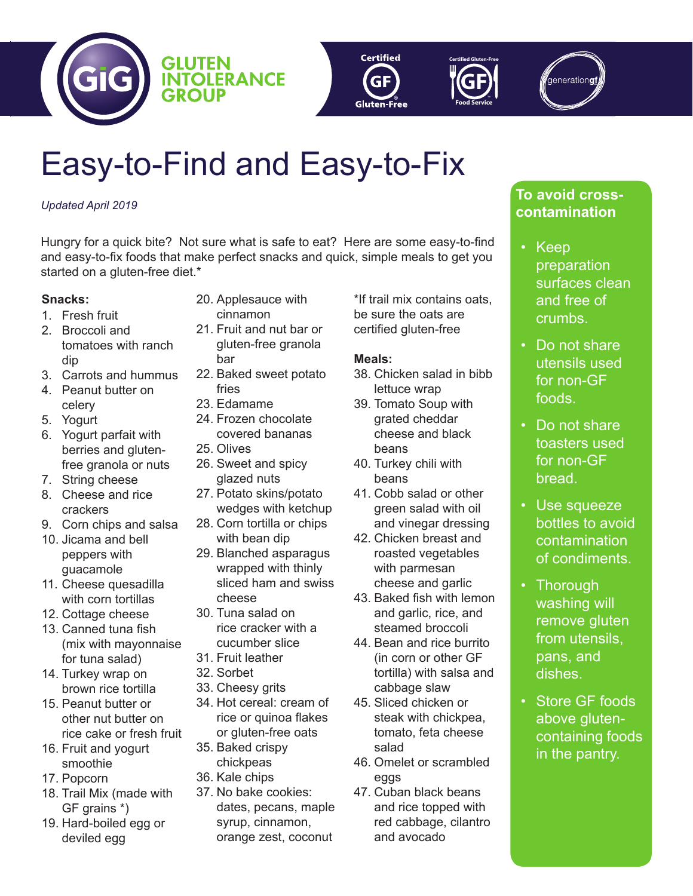





# Easy-to-Find and Easy-to-Fix

## *Updated April 2019*

Hungry for a quick bite? Not sure what is safe to eat? Here are some easy-to-find and easy-to-fix foods that make perfect snacks and quick, simple meals to get you started on a gluten-free diet.\*

## **Snacks:**

- 1. Fresh fruit
- 2. Broccoli and tomatoes with ranch dip
- 3. Carrots and hummus
- 4. Peanut butter on celery
- 5. Yogurt
- 6. Yogurt parfait with berries and glutenfree granola or nuts
- 7. String cheese
- 8. Cheese and rice crackers
- 9. Corn chips and salsa
- 10. Jicama and bell peppers with guacamole
- 11. Cheese quesadilla with corn tortillas
- 12. Cottage cheese
- 13. Canned tuna fish (mix with mayonnaise for tuna salad)
- 14. Turkey wrap on brown rice tortilla
- 15. Peanut butter or other nut butter on rice cake or fresh fruit
- 16. Fruit and yogurt smoothie
- 17. Popcorn
- 18. Trail Mix (made with GF grains \*)
- 19. Hard-boiled egg or deviled egg
- 20. Applesauce with cinnamon
- 21. Fruit and nut bar or gluten-free granola bar
- 22. Baked sweet potato fries
- 23. Edamame
- 24. Frozen chocolate covered bananas
- 25. Olives
- 26. Sweet and spicy glazed nuts
- 27. Potato skins/potato wedges with ketchup
- 28. Corn tortilla or chips with bean dip
- 29. Blanched asparagus wrapped with thinly sliced ham and swiss cheese
- 30. Tuna salad on rice cracker with a cucumber slice
- 31. Fruit leather
- 32. Sorbet
- 33. Cheesy grits
- 34. Hot cereal: cream of rice or quinoa flakes or gluten-free oats
- 35. Baked crispy chickpeas
- 36. Kale chips
- 37. No bake cookies: dates, pecans, maple syrup, cinnamon, orange zest, coconut

\*If trail mix contains oats, be sure the oats are certified gluten-free

# **Meals:**

- 38. Chicken salad in bibb lettuce wrap
- 39. Tomato Soup with grated cheddar cheese and black beans
- 40. Turkey chili with beans
- 41. Cobb salad or other green salad with oil and vinegar dressing
- 42. Chicken breast and roasted vegetables with parmesan cheese and garlic
- 43. Baked fish with lemon and garlic, rice, and steamed broccoli
- 44. Bean and rice burrito (in corn or other GF tortilla) with salsa and cabbage slaw
- 45. Sliced chicken or steak with chickpea, tomato, feta cheese salad
- 46. Omelet or scrambled eggs
- 47. Cuban black beans and rice topped with red cabbage, cilantro and avocado

# **To avoid crosscontamination**

- Keep preparation surfaces clean and free of crumbs.
- Do not share utensils used for non-GF foods.
- Do not share toasters used for non-GF bread.
- Use squeeze bottles to avoid contamination of condiments.
- Thorough washing will remove gluten from utensils, pans, and dishes.
- Store GF foods above glutencontaining foods in the pantry.